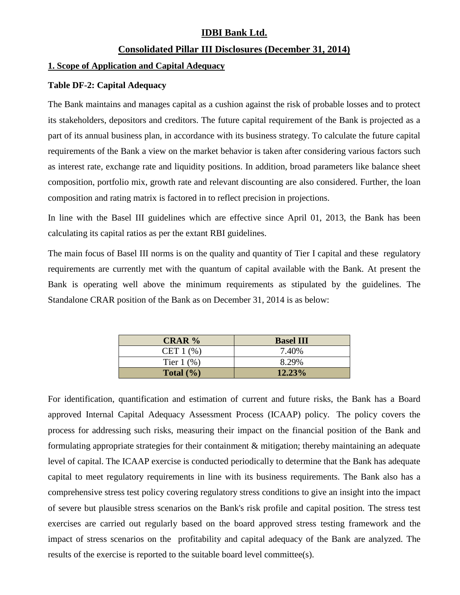# **IDBI Bank Ltd.**

## **Consolidated Pillar III Disclosures (December 31, 2014)**

### **1. Scope of Application and Capital Adequacy**

### **Table DF-2: Capital Adequacy**

The Bank maintains and manages capital as a cushion against the risk of probable losses and to protect its stakeholders, depositors and creditors. The future capital requirement of the Bank is projected as a part of its annual business plan, in accordance with its business strategy. To calculate the future capital requirements of the Bank a view on the market behavior is taken after considering various factors such as interest rate, exchange rate and liquidity positions. In addition, broad parameters like balance sheet composition, portfolio mix, growth rate and relevant discounting are also considered. Further, the loan composition and rating matrix is factored in to reflect precision in projections.

In line with the Basel III guidelines which are effective since April 01, 2013, the Bank has been calculating its capital ratios as per the extant RBI guidelines.

The main focus of Basel III norms is on the quality and quantity of Tier I capital and these regulatory requirements are currently met with the quantum of capital available with the Bank. At present the Bank is operating well above the minimum requirements as stipulated by the guidelines. The Standalone CRAR position of the Bank as on December 31, 2014 is as below:

| CRAR $%$        | <b>Basel III</b> |
|-----------------|------------------|
| CET $1$ $%$     | 7.40%            |
| Tier $1$ $(\%)$ | 8.29%            |
| Total $(\% )$   | $12.23\%$        |

For identification, quantification and estimation of current and future risks, the Bank has a Board approved Internal Capital Adequacy Assessment Process (ICAAP) policy. The policy covers the process for addressing such risks, measuring their impact on the financial position of the Bank and formulating appropriate strategies for their containment & mitigation; thereby maintaining an adequate level of capital. The ICAAP exercise is conducted periodically to determine that the Bank has adequate capital to meet regulatory requirements in line with its business requirements. The Bank also has a comprehensive stress test policy covering regulatory stress conditions to give an insight into the impact of severe but plausible stress scenarios on the Bank's risk profile and capital position. The stress test exercises are carried out regularly based on the board approved stress testing framework and the impact of stress scenarios on the profitability and capital adequacy of the Bank are analyzed. The results of the exercise is reported to the suitable board level committee(s).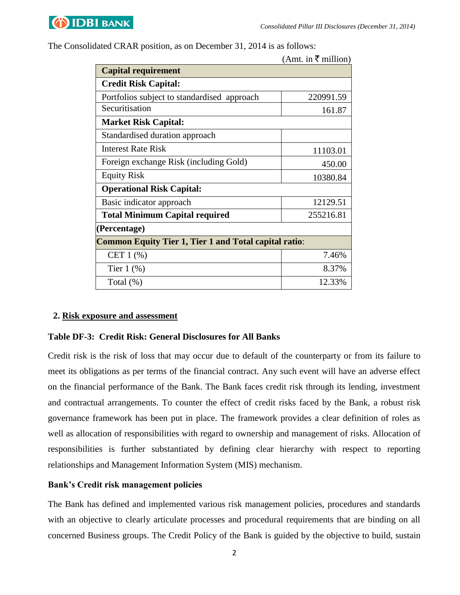

The Consolidated CRAR position, as on December 31, 2014 is as follows:

|                                                              | (Amt. in ₹ million) |  |  |  |
|--------------------------------------------------------------|---------------------|--|--|--|
| <b>Capital requirement</b>                                   |                     |  |  |  |
| <b>Credit Risk Capital:</b>                                  |                     |  |  |  |
| Portfolios subject to standardised approach                  | 220991.59           |  |  |  |
| Securitisation                                               | 161.87              |  |  |  |
| <b>Market Risk Capital:</b>                                  |                     |  |  |  |
| Standardised duration approach                               |                     |  |  |  |
| <b>Interest Rate Risk</b>                                    | 11103.01            |  |  |  |
| Foreign exchange Risk (including Gold)                       | 450.00              |  |  |  |
| <b>Equity Risk</b>                                           | 10380.84            |  |  |  |
| <b>Operational Risk Capital:</b>                             |                     |  |  |  |
| Basic indicator approach                                     | 12129.51            |  |  |  |
| <b>Total Minimum Capital required</b>                        | 255216.81           |  |  |  |
| (Percentage)                                                 |                     |  |  |  |
| <b>Common Equity Tier 1, Tier 1 and Total capital ratio:</b> |                     |  |  |  |
| CET $1$ $%$                                                  | 7.46%               |  |  |  |
| Tier $1$ $(\%)$                                              | 8.37%               |  |  |  |
| Total $(\%)$                                                 | 12.33%              |  |  |  |

#### **2. Risk exposure and assessment**

### **Table DF-3: Credit Risk: General Disclosures for All Banks**

Credit risk is the risk of loss that may occur due to default of the counterparty or from its failure to meet its obligations as per terms of the financial contract. Any such event will have an adverse effect on the financial performance of the Bank. The Bank faces credit risk through its lending, investment and contractual arrangements. To counter the effect of credit risks faced by the Bank, a robust risk governance framework has been put in place. The framework provides a clear definition of roles as well as allocation of responsibilities with regard to ownership and management of risks. Allocation of responsibilities is further substantiated by defining clear hierarchy with respect to reporting relationships and Management Information System (MIS) mechanism.

### **Bank's Credit risk management policies**

The Bank has defined and implemented various risk management policies, procedures and standards with an objective to clearly articulate processes and procedural requirements that are binding on all concerned Business groups. The Credit Policy of the Bank is guided by the objective to build, sustain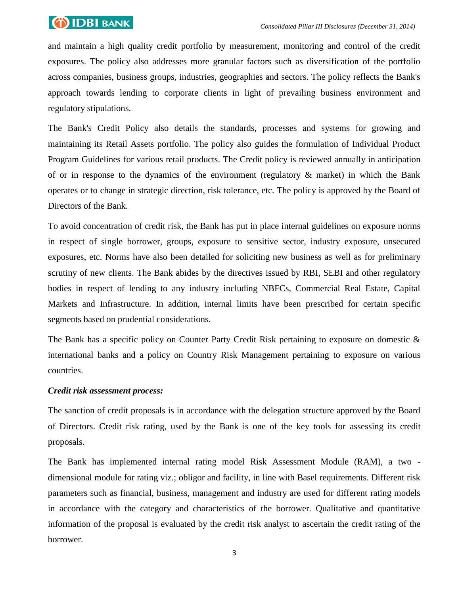

and maintain a high quality credit portfolio by measurement, monitoring and control of the credit exposures. The policy also addresses more granular factors such as diversification of the portfolio across companies, business groups, industries, geographies and sectors. The policy reflects the Bank's approach towards lending to corporate clients in light of prevailing business environment and regulatory stipulations.

The Bank's Credit Policy also details the standards, processes and systems for growing and maintaining its Retail Assets portfolio. The policy also guides the formulation of Individual Product Program Guidelines for various retail products. The Credit policy is reviewed annually in anticipation of or in response to the dynamics of the environment (regulatory & market) in which the Bank operates or to change in strategic direction, risk tolerance, etc. The policy is approved by the Board of Directors of the Bank.

To avoid concentration of credit risk, the Bank has put in place internal guidelines on exposure norms in respect of single borrower, groups, exposure to sensitive sector, industry exposure, unsecured exposures, etc. Norms have also been detailed for soliciting new business as well as for preliminary scrutiny of new clients. The Bank abides by the directives issued by RBI, SEBI and other regulatory bodies in respect of lending to any industry including NBFCs, Commercial Real Estate, Capital Markets and Infrastructure. In addition, internal limits have been prescribed for certain specific segments based on prudential considerations.

The Bank has a specific policy on Counter Party Credit Risk pertaining to exposure on domestic & international banks and a policy on Country Risk Management pertaining to exposure on various countries.

### *Credit risk assessment process:*

The sanction of credit proposals is in accordance with the delegation structure approved by the Board of Directors. Credit risk rating, used by the Bank is one of the key tools for assessing its credit proposals.

The Bank has implemented internal rating model Risk Assessment Module (RAM), a two dimensional module for rating viz.; obligor and facility, in line with Basel requirements. Different risk parameters such as financial, business, management and industry are used for different rating models in accordance with the category and characteristics of the borrower. Qualitative and quantitative information of the proposal is evaluated by the credit risk analyst to ascertain the credit rating of the borrower.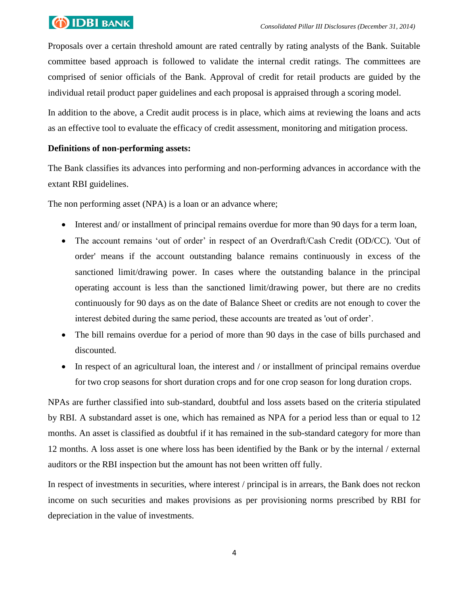# **OIDBI** BANK

Proposals over a certain threshold amount are rated centrally by rating analysts of the Bank. Suitable committee based approach is followed to validate the internal credit ratings. The committees are comprised of senior officials of the Bank. Approval of credit for retail products are guided by the individual retail product paper guidelines and each proposal is appraised through a scoring model.

In addition to the above, a Credit audit process is in place, which aims at reviewing the loans and acts as an effective tool to evaluate the efficacy of credit assessment, monitoring and mitigation process.

# **Definitions of non-performing assets:**

The Bank classifies its advances into performing and non-performing advances in accordance with the extant RBI guidelines.

The non performing asset (NPA) is a loan or an advance where;

- Interest and/ or installment of principal remains overdue for more than 90 days for a term loan,
- The account remains 'out of order' in respect of an Overdraft/Cash Credit (OD/CC). 'Out of order' means if the account outstanding balance remains continuously in excess of the sanctioned limit/drawing power. In cases where the outstanding balance in the principal operating account is less than the sanctioned limit/drawing power, but there are no credits continuously for 90 days as on the date of Balance Sheet or credits are not enough to cover the interest debited during the same period, these accounts are treated as 'out of order'.
- The bill remains overdue for a period of more than 90 days in the case of bills purchased and discounted.
- In respect of an agricultural loan, the interest and / or installment of principal remains overdue for two crop seasons for short duration crops and for one crop season for long duration crops.

NPAs are further classified into sub-standard, doubtful and loss assets based on the criteria stipulated by RBI. A substandard asset is one, which has remained as NPA for a period less than or equal to 12 months. An asset is classified as doubtful if it has remained in the sub-standard category for more than 12 months. A loss asset is one where loss has been identified by the Bank or by the internal / external auditors or the RBI inspection but the amount has not been written off fully.

In respect of investments in securities, where interest / principal is in arrears, the Bank does not reckon income on such securities and makes provisions as per provisioning norms prescribed by RBI for depreciation in the value of investments.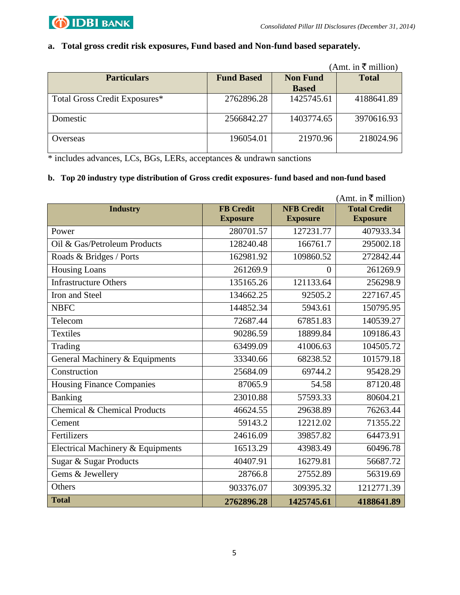

## **a. Total gross credit risk exposures, Fund based and Non-fund based separately.**

|                               |                   |                 | (Amt. in ₹ million) |
|-------------------------------|-------------------|-----------------|---------------------|
| <b>Particulars</b>            | <b>Fund Based</b> | <b>Non Fund</b> | <b>Total</b>        |
|                               |                   | <b>Based</b>    |                     |
| Total Gross Credit Exposures* | 2762896.28        | 1425745.61      | 4188641.89          |
| Domestic                      | 2566842.27        | 1403774.65      | 3970616.93          |
| () verseas                    | 196054.01         | 21970.96        | 218024.96           |

\* includes advances, LCs, BGs, LERs, acceptances & undrawn sanctions

### **b. Top 20 industry type distribution of Gross credit exposures- fund based and non-fund based**

| (Amt. in ₹ million)               |                                     |                                      |                                        |  |
|-----------------------------------|-------------------------------------|--------------------------------------|----------------------------------------|--|
| <b>Industry</b>                   | <b>FB</b> Credit<br><b>Exposure</b> | <b>NFB Credit</b><br><b>Exposure</b> | <b>Total Credit</b><br><b>Exposure</b> |  |
|                                   |                                     |                                      |                                        |  |
| Power                             | 280701.57                           | 127231.77                            | 407933.34                              |  |
| Oil & Gas/Petroleum Products      | 128240.48                           | 166761.7                             | 295002.18                              |  |
| Roads & Bridges / Ports           | 162981.92                           | 109860.52                            | 272842.44                              |  |
| <b>Housing Loans</b>              | 261269.9                            | $\overline{0}$                       | 261269.9                               |  |
| <b>Infrastructure Others</b>      | 135165.26                           | 121133.64                            | 256298.9                               |  |
| Iron and Steel                    | 134662.25                           | 92505.2                              | 227167.45                              |  |
| <b>NBFC</b>                       | 144852.34                           | 5943.61                              | 150795.95                              |  |
| Telecom                           | 72687.44                            | 67851.83                             | 140539.27                              |  |
| <b>Textiles</b>                   | 90286.59                            | 18899.84                             | 109186.43                              |  |
| Trading                           | 63499.09                            | 41006.63                             | 104505.72                              |  |
| General Machinery & Equipments    | 33340.66                            | 68238.52                             | 101579.18                              |  |
| Construction                      | 25684.09                            | 69744.2                              | 95428.29                               |  |
| <b>Housing Finance Companies</b>  | 87065.9                             | 54.58                                | 87120.48                               |  |
| <b>Banking</b>                    | 23010.88                            | 57593.33                             | 80604.21                               |  |
| Chemical & Chemical Products      | 46624.55                            | 29638.89                             | 76263.44                               |  |
| Cement                            | 59143.2                             | 12212.02                             | 71355.22                               |  |
| Fertilizers                       | 24616.09                            | 39857.82                             | 64473.91                               |  |
| Electrical Machinery & Equipments | 16513.29                            | 43983.49                             | 60496.78                               |  |
| Sugar & Sugar Products            | 40407.91                            | 16279.81                             | 56687.72                               |  |
| Gems & Jewellery                  | 28766.8                             | 27552.89                             | 56319.69                               |  |
| Others                            | 903376.07                           | 309395.32                            | 1212771.39                             |  |
| <b>Total</b>                      | 2762896.28                          | 1425745.61                           | 4188641.89                             |  |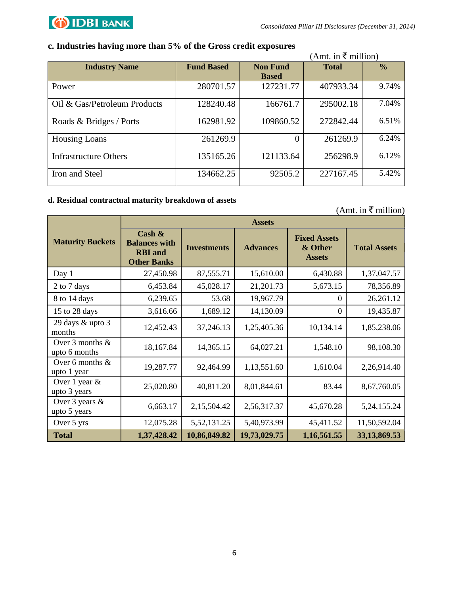

## **c. Industries having more than 5% of the Gross credit exposures**

|                              |                   |                                 | (Amt. in ₹ million) |               |
|------------------------------|-------------------|---------------------------------|---------------------|---------------|
| <b>Industry Name</b>         | <b>Fund Based</b> | <b>Non Fund</b><br><b>Based</b> | <b>Total</b>        | $\frac{0}{0}$ |
| Power                        | 280701.57         | 127231.77                       | 407933.34           | 9.74%         |
| Oil & Gas/Petroleum Products | 128240.48         | 166761.7                        | 295002.18           | 7.04%         |
| Roads & Bridges / Ports      | 162981.92         | 109860.52                       | 272842.44           | 6.51%         |
| <b>Housing Loans</b>         | 261269.9          | $\theta$                        | 261269.9            | 6.24%         |
| <b>Infrastructure Others</b> | 135165.26         | 121133.64                       | 256298.9            | 6.12%         |
| Iron and Steel               | 134662.25         | 92505.2                         | 227167.45           | 5.42%         |

## **d. Residual contractual maturity breakdown of assets**

|                                      | <b>Assets</b>                                                             |                    |                 |                                                 |                     |
|--------------------------------------|---------------------------------------------------------------------------|--------------------|-----------------|-------------------------------------------------|---------------------|
| <b>Maturity Buckets</b>              | Cash $\&$<br><b>Balances with</b><br><b>RBI</b> and<br><b>Other Banks</b> | <b>Investments</b> | <b>Advances</b> | <b>Fixed Assets</b><br>& Other<br><b>Assets</b> | <b>Total Assets</b> |
| Day 1                                | 27,450.98                                                                 | 87,555.71          | 15,610.00       | 6,430.88                                        | 1,37,047.57         |
| 2 to 7 days                          | 6,453.84                                                                  | 45,028.17          | 21,201.73       | 5,673.15                                        | 78,356.89           |
| 8 to 14 days                         | 6,239.65                                                                  | 53.68              | 19,967.79       | $\Omega$                                        | 26,261.12           |
| 15 to 28 days                        | 3,616.66                                                                  | 1,689.12           | 14,130.09       | $\theta$                                        | 19,435.87           |
| 29 days & upto 3<br>months           | 12,452.43                                                                 | 37,246.13          | 1,25,405.36     | 10,134.14                                       | 1,85,238.06         |
| Over $3$ months $&$<br>upto 6 months | 18,167.84                                                                 | 14,365.15          | 64,027.21       | 1,548.10                                        | 98,108.30           |
| Over 6 months $&$<br>upto 1 year     | 19,287.77                                                                 | 92,464.99          | 1,13,551.60     | 1,610.04                                        | 2,26,914.40         |
| Over 1 year $\&$<br>upto 3 years     | 25,020.80                                                                 | 40,811.20          | 8,01,844.61     | 83.44                                           | 8,67,760.05         |
| Over 3 years $&$<br>upto 5 years     | 6,663.17                                                                  | 2,15,504.42        | 2,56,317.37     | 45,670.28                                       | 5, 24, 155. 24      |
| Over 5 yrs                           | 12,075.28                                                                 | 5, 52, 131. 25     | 5,40,973.99     | 45,411.52                                       | 11,50,592.04        |
| <b>Total</b>                         | 1,37,428.42                                                               | 10,86,849.82       | 19,73,029.75    | 1,16,561.55                                     | 33,13,869.53        |

 $(Amt. in \mathcal{F}$  million)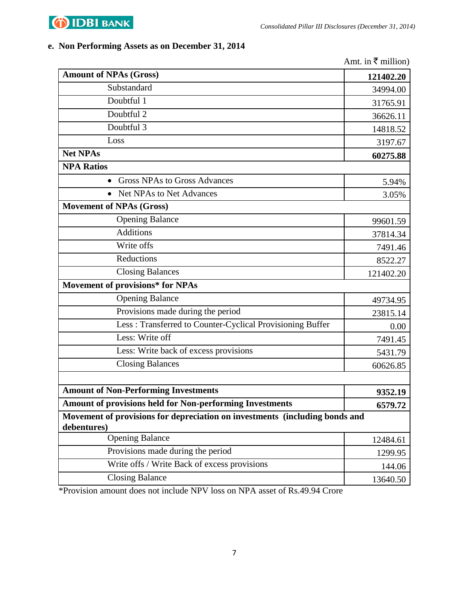

# **e. Non Performing Assets as on December 31, 2014**

|                                                                                            | Amt. in $\bar{\tau}$ million) |  |  |
|--------------------------------------------------------------------------------------------|-------------------------------|--|--|
| <b>Amount of NPAs (Gross)</b>                                                              | 121402.20                     |  |  |
| Substandard                                                                                | 34994.00                      |  |  |
| Doubtful 1                                                                                 | 31765.91                      |  |  |
| Doubtful 2                                                                                 | 36626.11                      |  |  |
| Doubtful 3                                                                                 | 14818.52                      |  |  |
| Loss                                                                                       | 3197.67                       |  |  |
| <b>Net NPAs</b>                                                                            | 60275.88                      |  |  |
| <b>NPA Ratios</b>                                                                          |                               |  |  |
| <b>Gross NPAs to Gross Advances</b>                                                        | 5.94%                         |  |  |
| • Net NPAs to Net Advances                                                                 | 3.05%                         |  |  |
| <b>Movement of NPAs (Gross)</b>                                                            |                               |  |  |
| <b>Opening Balance</b>                                                                     | 99601.59                      |  |  |
| <b>Additions</b>                                                                           | 37814.34                      |  |  |
| Write offs                                                                                 | 7491.46                       |  |  |
| Reductions                                                                                 | 8522.27                       |  |  |
| <b>Closing Balances</b>                                                                    | 121402.20                     |  |  |
| <b>Movement of provisions* for NPAs</b>                                                    |                               |  |  |
| <b>Opening Balance</b>                                                                     | 49734.95                      |  |  |
| Provisions made during the period                                                          | 23815.14                      |  |  |
| Less: Transferred to Counter-Cyclical Provisioning Buffer                                  | 0.00                          |  |  |
| Less: Write off                                                                            | 7491.45                       |  |  |
| Less: Write back of excess provisions                                                      | 5431.79                       |  |  |
| <b>Closing Balances</b>                                                                    | 60626.85                      |  |  |
|                                                                                            |                               |  |  |
| <b>Amount of Non-Performing Investments</b>                                                | 9352.19                       |  |  |
| <b>Amount of provisions held for Non-performing Investments</b>                            | 6579.72                       |  |  |
| Movement of provisions for depreciation on investments (including bonds and<br>debentures) |                               |  |  |
| <b>Opening Balance</b>                                                                     | 12484.61                      |  |  |
| Provisions made during the period                                                          | 1299.95                       |  |  |
| Write offs / Write Back of excess provisions                                               | 144.06                        |  |  |
| <b>Closing Balance</b>                                                                     | 13640.50                      |  |  |

\*Provision amount does not include NPV loss on NPA asset of Rs.49.94 Crore